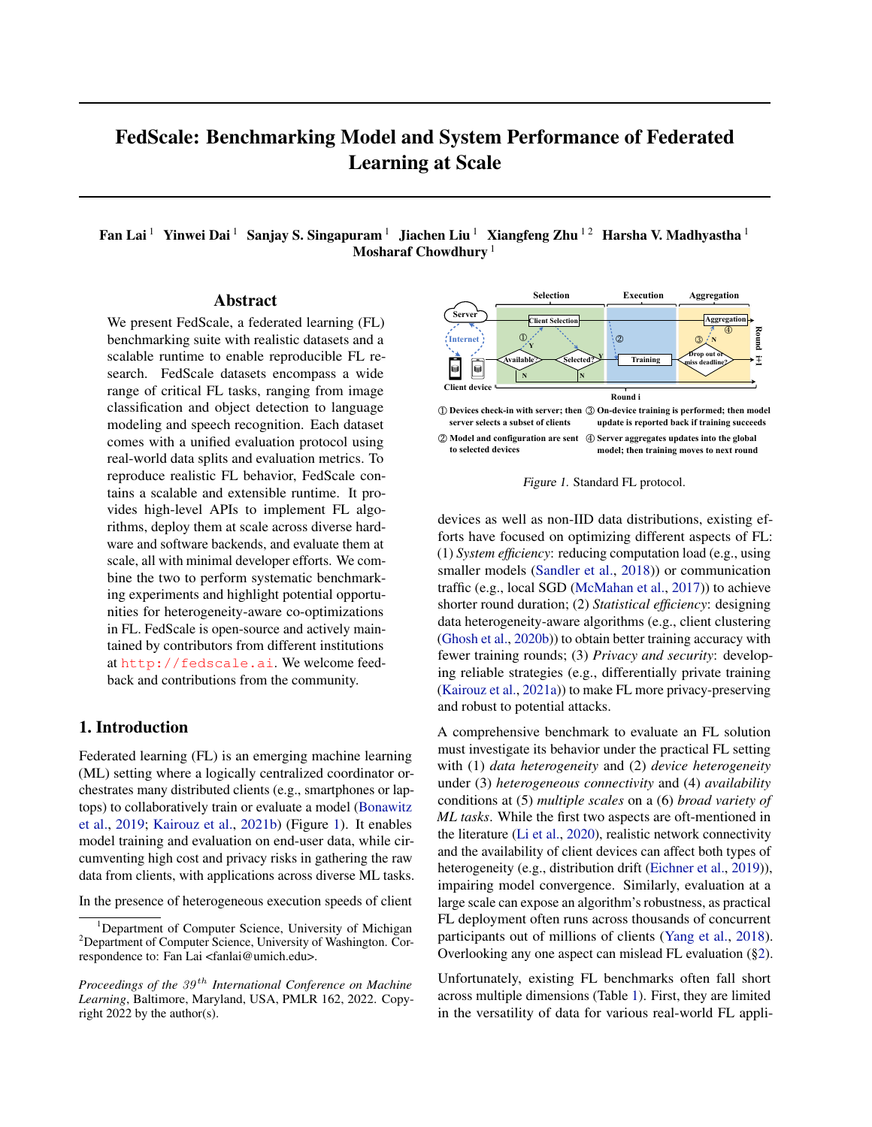# FedScale: Benchmarking Model and System Performance of Federated Learning at Scale

Fan Lai<sup>1</sup> Yinwei Dai<sup>1</sup> Sanjay S. Singapuram<sup>1</sup> Jiachen Liu<sup>1</sup> Xiangfeng Zhu<sup>12</sup> Harsha V. Madhyastha<sup>1</sup> Mosharaf Chowdhury<sup>1</sup>

## Abstract

We present FedScale, a federated learning (FL) benchmarking suite with realistic datasets and a scalable runtime to enable reproducible FL research. FedScale datasets encompass a wide range of critical FL tasks, ranging from image classification and object detection to language modeling and speech recognition. Each dataset comes with a unified evaluation protocol using real-world data splits and evaluation metrics. To reproduce realistic FL behavior, FedScale contains a scalable and extensible runtime. It provides high-level APIs to implement FL algorithms, deploy them at scale across diverse hardware and software backends, and evaluate them at scale, all with minimal developer efforts. We combine the two to perform systematic benchmarking experiments and highlight potential opportunities for heterogeneity-aware co-optimizations in FL. FedScale is open-source and actively maintained by contributors from different institutions at <http://fedscale.ai>. We welcome feedback and contributions from the community.

## 1. Introduction

Federated learning (FL) is an emerging machine learning (ML) setting where a logically centralized coordinator orchestrates many distributed clients (e.g., smartphones or laptops) to collaboratively train or evaluate a model [\(Bonawitz](#page-9-0) [et al.,](#page-9-0) [2019;](#page-9-0) [Kairouz et al.,](#page-9-1) [2021b\)](#page-9-1) (Figure [1\)](#page-0-0). It enables model training and evaluation on end-user data, while circumventing high cost and privacy risks in gathering the raw data from clients, with applications across diverse ML tasks.

In the presence of heterogeneous execution speeds of client



**② Model and configuration are sent ④ Server aggregates updates into the global to selected devices model; then training moves to next round**

<span id="page-0-0"></span>Figure 1. Standard FL protocol.

devices as well as non-IID data distributions, existing efforts have focused on optimizing different aspects of FL: (1) *System efficiency*: reducing computation load (e.g., using smaller models [\(Sandler et al.,](#page-10-0) [2018\)](#page-10-0)) or communication traffic (e.g., local SGD [\(McMahan et al.,](#page-10-1) [2017\)](#page-10-1)) to achieve shorter round duration; (2) *Statistical efficiency*: designing data heterogeneity-aware algorithms (e.g., client clustering [\(Ghosh et al.,](#page-9-2) [2020b\)](#page-9-2)) to obtain better training accuracy with fewer training rounds; (3) *Privacy and security*: developing reliable strategies (e.g., differentially private training [\(Kairouz et al.,](#page-9-3) [2021a\)](#page-9-3)) to make FL more privacy-preserving and robust to potential attacks.

A comprehensive benchmark to evaluate an FL solution must investigate its behavior under the practical FL setting with (1) *data heterogeneity* and (2) *device heterogeneity* under (3) *heterogeneous connectivity* and (4) *availability* conditions at (5) *multiple scales* on a (6) *broad variety of ML tasks*. While the first two aspects are oft-mentioned in the literature [\(Li et al.,](#page-10-2) [2020\)](#page-10-2), realistic network connectivity and the availability of client devices can affect both types of heterogeneity (e.g., distribution drift [\(Eichner et al.,](#page-9-4) [2019\)](#page-9-4)), impairing model convergence. Similarly, evaluation at a large scale can expose an algorithm's robustness, as practical FL deployment often runs across thousands of concurrent participants out of millions of clients [\(Yang et al.,](#page-10-3) [2018\)](#page-10-3). Overlooking any one aspect can mislead FL evaluation ([§2\)](#page-1-0).

Unfortunately, existing FL benchmarks often fall short across multiple dimensions (Table [1\)](#page-1-1). First, they are limited in the versatility of data for various real-world FL appli-

<sup>1</sup>Department of Computer Science, University of Michigan <sup>2</sup>Department of Computer Science, University of Washington. Correspondence to: Fan Lai <fanlai@umich.edu>.

*Proceedings of the 39<sup>th</sup> International Conference on Machine Learning*, Baltimore, Maryland, USA, PMLR 162, 2022. Copyright 2022 by the author(s).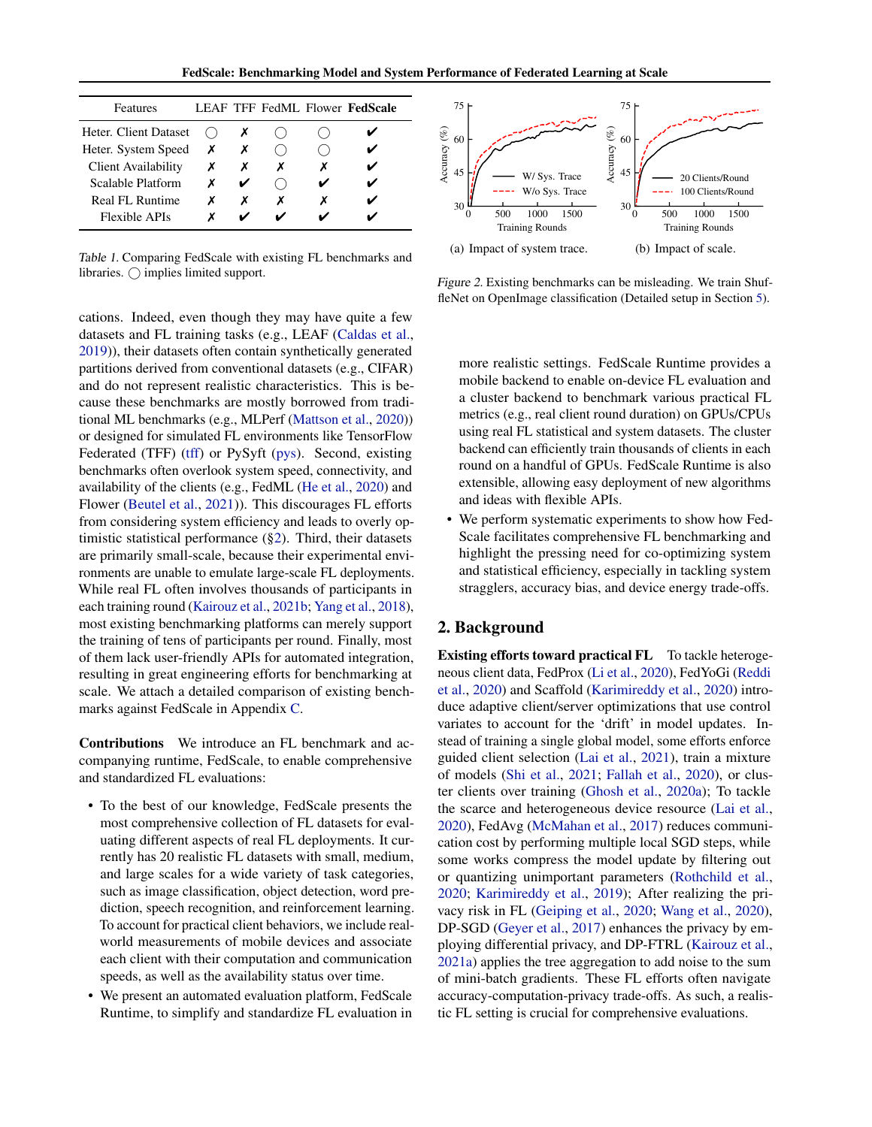FedScale: Benchmarking Model and System Performance of Federated Learning at Scale

| Features                   |   |   |   | LEAF TFF FedML Flower <b>FedScale</b> |
|----------------------------|---|---|---|---------------------------------------|
| Heter. Client Dataset      |   |   |   |                                       |
| Heter. System Speed        | Х |   |   |                                       |
| <b>Client Availability</b> |   |   |   |                                       |
| Scalable Platform          |   |   |   |                                       |
| Real FL Runtime            | х | х | x |                                       |
| Flexible APIs              |   |   |   |                                       |

<span id="page-1-1"></span>Table 1. Comparing FedScale with existing FL benchmarks and libraries.  $\bigcirc$  implies limited support.

cations. Indeed, even though they may have quite a few datasets and FL training tasks (e.g., LEAF [\(Caldas et al.,](#page-9-5) [2019\)](#page-9-5)), their datasets often contain synthetically generated partitions derived from conventional datasets (e.g., CIFAR) and do not represent realistic characteristics. This is because these benchmarks are mostly borrowed from traditional ML benchmarks (e.g., MLPerf [\(Mattson et al.,](#page-10-4) [2020\)](#page-10-4)) or designed for simulated FL environments like TensorFlow Federated (TFF) [\(tff\)](#page-9-6) or PySyft [\(pys\)](#page-8-0). Second, existing benchmarks often overlook system speed, connectivity, and availability of the clients (e.g., FedML [\(He et al.,](#page-9-7) [2020\)](#page-9-7) and Flower [\(Beutel et al.,](#page-9-8) [2021\)](#page-9-8)). This discourages FL efforts from considering system efficiency and leads to overly optimistic statistical performance ([§2\)](#page-1-0). Third, their datasets are primarily small-scale, because their experimental environments are unable to emulate large-scale FL deployments. While real FL often involves thousands of participants in each training round [\(Kairouz et al.,](#page-9-1) [2021b;](#page-9-1) [Yang et al.,](#page-10-3) [2018\)](#page-10-3), most existing benchmarking platforms can merely support the training of tens of participants per round. Finally, most of them lack user-friendly APIs for automated integration, resulting in great engineering efforts for benchmarking at scale. We attach a detailed comparison of existing benchmarks against FedScale in Appendix [C.](#page-11-0)

Contributions We introduce an FL benchmark and accompanying runtime, FedScale, to enable comprehensive and standardized FL evaluations:

- To the best of our knowledge, FedScale presents the most comprehensive collection of FL datasets for evaluating different aspects of real FL deployments. It currently has 20 realistic FL datasets with small, medium, and large scales for a wide variety of task categories, such as image classification, object detection, word prediction, speech recognition, and reinforcement learning. To account for practical client behaviors, we include realworld measurements of mobile devices and associate each client with their computation and communication speeds, as well as the availability status over time.
- We present an automated evaluation platform, FedScale Runtime, to simplify and standardize FL evaluation in

<span id="page-1-2"></span>

<span id="page-1-4"></span><span id="page-1-3"></span>Figure 2. Existing benchmarks can be misleading. We train ShuffleNet on OpenImage classification (Detailed setup in Section [5\)](#page-6-0).

more realistic settings. FedScale Runtime provides a mobile backend to enable on-device FL evaluation and a cluster backend to benchmark various practical FL metrics (e.g., real client round duration) on GPUs/CPUs using real FL statistical and system datasets. The cluster backend can efficiently train thousands of clients in each round on a handful of GPUs. FedScale Runtime is also extensible, allowing easy deployment of new algorithms and ideas with flexible APIs.

• We perform systematic experiments to show how Fed-Scale facilitates comprehensive FL benchmarking and highlight the pressing need for co-optimizing system and statistical efficiency, especially in tackling system stragglers, accuracy bias, and device energy trade-offs.

## <span id="page-1-0"></span>2. Background

Existing efforts toward practical FL To tackle heterogeneous client data, FedProx [\(Li et al.,](#page-10-2) [2020\)](#page-10-2), FedYoGi [\(Reddi](#page-10-5) [et al.,](#page-10-5) [2020\)](#page-10-5) and Scaffold [\(Karimireddy et al.,](#page-9-9) [2020\)](#page-9-9) introduce adaptive client/server optimizations that use control variates to account for the 'drift' in model updates. Instead of training a single global model, some efforts enforce guided client selection [\(Lai et al.,](#page-9-10) [2021\)](#page-9-10), train a mixture of models [\(Shi et al.,](#page-10-6) [2021;](#page-10-6) [Fallah et al.,](#page-9-11) [2020\)](#page-9-11), or cluster clients over training [\(Ghosh et al.,](#page-9-12) [2020a\)](#page-9-12); To tackle the scarce and heterogeneous device resource [\(Lai et al.,](#page-9-13) [2020\)](#page-9-13), FedAvg [\(McMahan et al.,](#page-10-1) [2017\)](#page-10-1) reduces communication cost by performing multiple local SGD steps, while some works compress the model update by filtering out or quantizing unimportant parameters [\(Rothchild et al.,](#page-10-7) [2020;](#page-10-7) [Karimireddy et al.,](#page-9-14) [2019\)](#page-9-14); After realizing the privacy risk in FL [\(Geiping et al.,](#page-9-15) [2020;](#page-9-15) [Wang et al.,](#page-10-8) [2020\)](#page-10-8), DP-SGD [\(Geyer et al.,](#page-9-16) [2017\)](#page-9-16) enhances the privacy by employing differential privacy, and DP-FTRL [\(Kairouz et al.,](#page-9-3) [2021a\)](#page-9-3) applies the tree aggregation to add noise to the sum of mini-batch gradients. These FL efforts often navigate accuracy-computation-privacy trade-offs. As such, a realistic FL setting is crucial for comprehensive evaluations.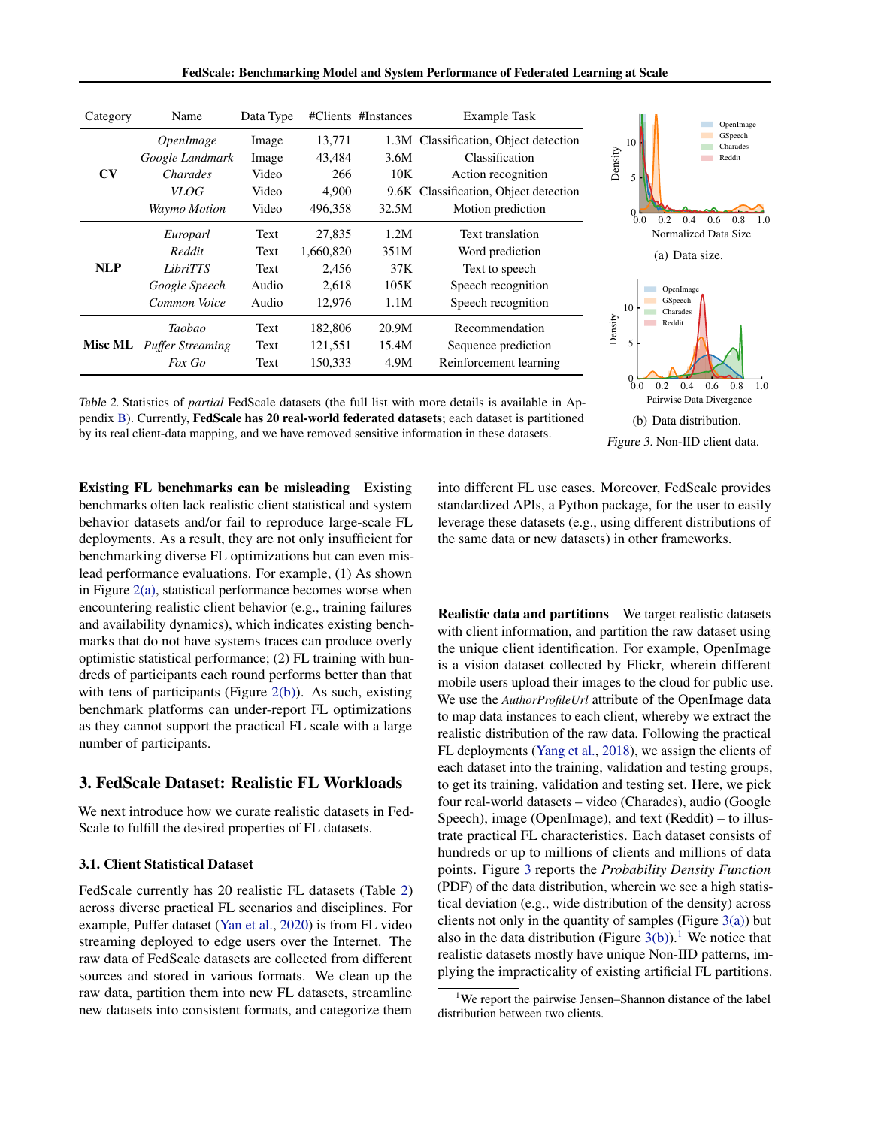FedScale: Benchmarking Model and System Performance of Federated Learning at Scale

| Category               | Name                                                                                  | Data Type                                 |                                                 | #Clients #Instances                 | <b>Example Task</b>                                                                                                                         | OpenImage                                                                              |
|------------------------|---------------------------------------------------------------------------------------|-------------------------------------------|-------------------------------------------------|-------------------------------------|---------------------------------------------------------------------------------------------------------------------------------------------|----------------------------------------------------------------------------------------|
| $\mathbf{C}\mathbf{V}$ | <i><b>OpenImage</b></i><br>Google Landmark<br>Charades<br>VLOG<br><b>Waymo Motion</b> | Image<br>Image<br>Video<br>Video<br>Video | 13,771<br>43,484<br>266<br>4,900<br>496,358     | 3.6M<br>10K<br>32.5M                | 1.3M Classification, Object detection<br>Classification<br>Action recognition<br>9.6K Classification, Object detection<br>Motion prediction | GSpeech<br>10<br>Charades<br>Density<br>Reddit<br>5<br>0.0<br>0.2<br>0.8<br>0.4<br>0.6 |
| <b>NLP</b>             | Europarl<br>Reddit<br>LibriTTS<br>Google Speech<br>Common Voice                       | Text<br>Text<br>Text<br>Audio<br>Audio    | 27,835<br>1,660,820<br>2,456<br>2,618<br>12,976 | 1.2M<br>351M<br>37K<br>105K<br>1.1M | Text translation<br>Word prediction<br>Text to speech<br>Speech recognition<br>Speech recognition                                           | Normalized Data Size<br>(a) Data size.<br>OpenImage<br>GSpeech<br>10                   |
| <b>Misc ML</b>         | Taobao<br><b>Puffer Streaming</b><br>Fox Go                                           | Text<br>Text<br>Text                      | 182,806<br>121,551<br>150,333                   | 20.9M<br>15.4M<br>4.9M              | Recommendation<br>Sequence prediction<br>Reinforcement learning                                                                             | Charades<br>Density<br>Reddit<br>5                                                     |

Table 2. Statistics of *partial* FedScale datasets (the full list with more details is available in Appendix [B\)](#page-11-1). Currently, FedScale has 20 real-world federated datasets; each dataset is partitioned by its real client-data mapping, and we have removed sensitive information in these datasets.

<span id="page-2-1"></span>

Existing FL benchmarks can be misleading Existing benchmarks often lack realistic client statistical and system behavior datasets and/or fail to reproduce large-scale FL deployments. As a result, they are not only insufficient for benchmarking diverse FL optimizations but can even mislead performance evaluations. For example, (1) As shown in Figure  $2(a)$ , statistical performance becomes worse when encountering realistic client behavior (e.g., training failures and availability dynamics), which indicates existing benchmarks that do not have systems traces can produce overly optimistic statistical performance; (2) FL training with hundreds of participants each round performs better than that with tens of participants (Figure  $2(b)$ ). As such, existing benchmark platforms can under-report FL optimizations as they cannot support the practical FL scale with a large number of participants.

# 3. FedScale Dataset: Realistic FL Workloads

We next introduce how we curate realistic datasets in Fed-Scale to fulfill the desired properties of FL datasets.

## 3.1. Client Statistical Dataset

FedScale currently has 20 realistic FL datasets (Table [2\)](#page-1-4) across diverse practical FL scenarios and disciplines. For example, Puffer dataset [\(Yan et al.,](#page-10-9) [2020\)](#page-10-9) is from FL video streaming deployed to edge users over the Internet. The raw data of FedScale datasets are collected from different sources and stored in various formats. We clean up the raw data, partition them into new FL datasets, streamline new datasets into consistent formats, and categorize them

<span id="page-2-2"></span><span id="page-2-0"></span>into different FL use cases. Moreover, FedScale provides standardized APIs, a Python package, for the user to easily leverage these datasets (e.g., using different distributions of the same data or new datasets) in other frameworks.

**Realistic data and partitions** We target realistic datasets with client information, and partition the raw dataset using the unique client identification. For example, OpenImage is a vision dataset collected by Flickr, wherein different mobile users upload their images to the cloud for public use. We use the *AuthorProfileUrl* attribute of the OpenImage data to map data instances to each client, whereby we extract the realistic distribution of the raw data. Following the practical FL deployments [\(Yang et al.,](#page-10-3) [2018\)](#page-10-3), we assign the clients of each dataset into the training, validation and testing groups, to get its training, validation and testing set. Here, we pick four real-world datasets – video (Charades), audio (Google Speech), image (OpenImage), and text (Reddit) – to illustrate practical FL characteristics. Each dataset consists of hundreds or up to millions of clients and millions of data points. Figure [3](#page-2-0) reports the *Probability Density Function* (PDF) of the data distribution, wherein we see a high statistical deviation (e.g., wide distribution of the density) across clients not only in the quantity of samples (Figure  $3(a)$ ) but also in the data distribution (Figure [3\(b\)\)](#page-2-2).<sup>[1](#page-2-3)</sup> We notice that realistic datasets mostly have unique Non-IID patterns, implying the impracticality of existing artificial FL partitions.

<span id="page-2-3"></span><sup>&</sup>lt;sup>1</sup>We report the pairwise Jensen–Shannon distance of the label distribution between two clients.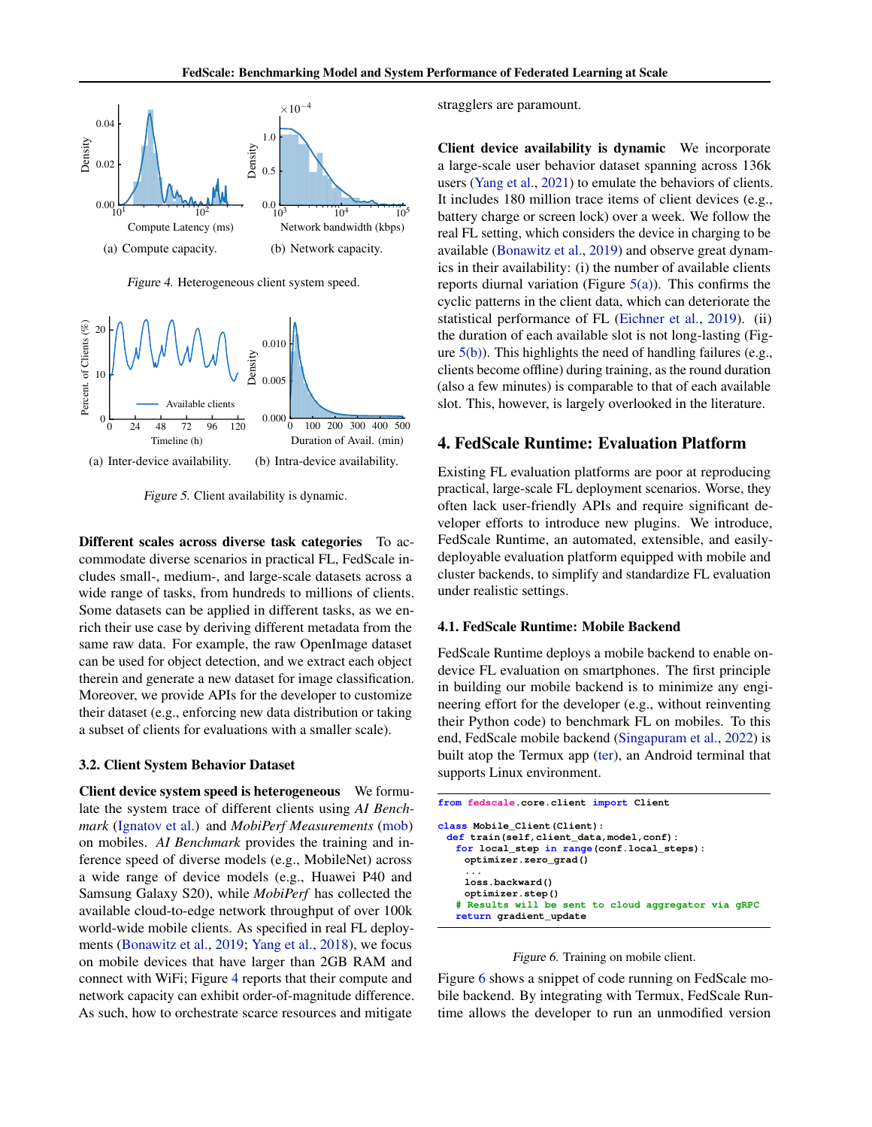

<span id="page-3-0"></span>Figure 4. Heterogeneous client system speed.

<span id="page-3-1"></span>

<span id="page-3-2"></span>Figure 5. Client availability is dynamic.

Different scales across diverse task categories To accommodate diverse scenarios in practical FL, FedScale includes small-, medium-, and large-scale datasets across a wide range of tasks, from hundreds to millions of clients. Some datasets can be applied in different tasks, as we enrich their use case by deriving different metadata from the same raw data. For example, the raw OpenImage dataset can be used for object detection, and we extract each object therein and generate a new dataset for image classification. Moreover, we provide APIs for the developer to customize their dataset (e.g., enforcing new data distribution or taking a subset of clients for evaluations with a smaller scale).

#### 3.2. Client System Behavior Dataset

Client device system speed is heterogeneous We formulate the system trace of different clients using *AI Benchmark* [\(Ignatov et al.\)](#page-9-17) and *MobiPerf Measurements* [\(mob\)](#page-8-1) on mobiles. *AI Benchmark* provides the training and inference speed of diverse models (e.g., MobileNet) across a wide range of device models (e.g., Huawei P40 and Samsung Galaxy S20), while *MobiPerf* has collected the available cloud-to-edge network throughput of over 100k world-wide mobile clients. As specified in real FL deployments [\(Bonawitz et al.,](#page-9-0) [2019;](#page-9-0) [Yang et al.,](#page-10-3) [2018\)](#page-10-3), we focus on mobile devices that have larger than 2GB RAM and connect with WiFi; Figure [4](#page-3-0) reports that their compute and network capacity can exhibit order-of-magnitude difference. As such, how to orchestrate scarce resources and mitigate

stragglers are paramount.

Client device availability is dynamic We incorporate a large-scale user behavior dataset spanning across 136k users [\(Yang et al.,](#page-10-10) [2021\)](#page-10-10) to emulate the behaviors of clients. It includes 180 million trace items of client devices (e.g., battery charge or screen lock) over a week. We follow the real FL setting, which considers the device in charging to be available [\(Bonawitz et al.,](#page-9-0) [2019\)](#page-9-0) and observe great dynamics in their availability: (i) the number of available clients reports diurnal variation (Figure  $5(a)$ ). This confirms the cyclic patterns in the client data, which can deteriorate the statistical performance of FL [\(Eichner et al.,](#page-9-4) [2019\)](#page-9-4). (ii) the duration of each available slot is not long-lasting (Figure  $5(b)$ ). This highlights the need of handling failures (e.g., clients become offline) during training, as the round duration (also a few minutes) is comparable to that of each available slot. This, however, is largely overlooked in the literature.

### 4. FedScale Runtime: Evaluation Platform

Existing FL evaluation platforms are poor at reproducing practical, large-scale FL deployment scenarios. Worse, they often lack user-friendly APIs and require significant developer efforts to introduce new plugins. We introduce, FedScale Runtime, an automated, extensible, and easilydeployable evaluation platform equipped with mobile and cluster backends, to simplify and standardize FL evaluation under realistic settings.

#### 4.1. FedScale Runtime: Mobile Backend

FedScale Runtime deploys a mobile backend to enable ondevice FL evaluation on smartphones. The first principle in building our mobile backend is to minimize any engineering effort for the developer (e.g., without reinventing their Python code) to benchmark FL on mobiles. To this end, FedScale mobile backend [\(Singapuram et al.,](#page-10-11) [2022\)](#page-10-11) is built atop the Termux app [\(ter\)](#page-9-18), an Android terminal that supports Linux environment.

| from fedscale core.client import Client                                                                                                               |
|-------------------------------------------------------------------------------------------------------------------------------------------------------|
| class Mobile Client (Client) :<br>def train(self, client data, model, conf) :<br>for local step in range (conf.local steps):<br>optimizer.zero grad() |
| .<br>loss.backward()<br>optimizer.step()<br># Results will be sent to cloud aggregator via gRPC<br>return gradient update                             |

#### <span id="page-3-3"></span>Figure 6. Training on mobile client.

Figure [6](#page-3-3) shows a snippet of code running on FedScale mobile backend. By integrating with Termux, FedScale Runtime allows the developer to run an unmodified version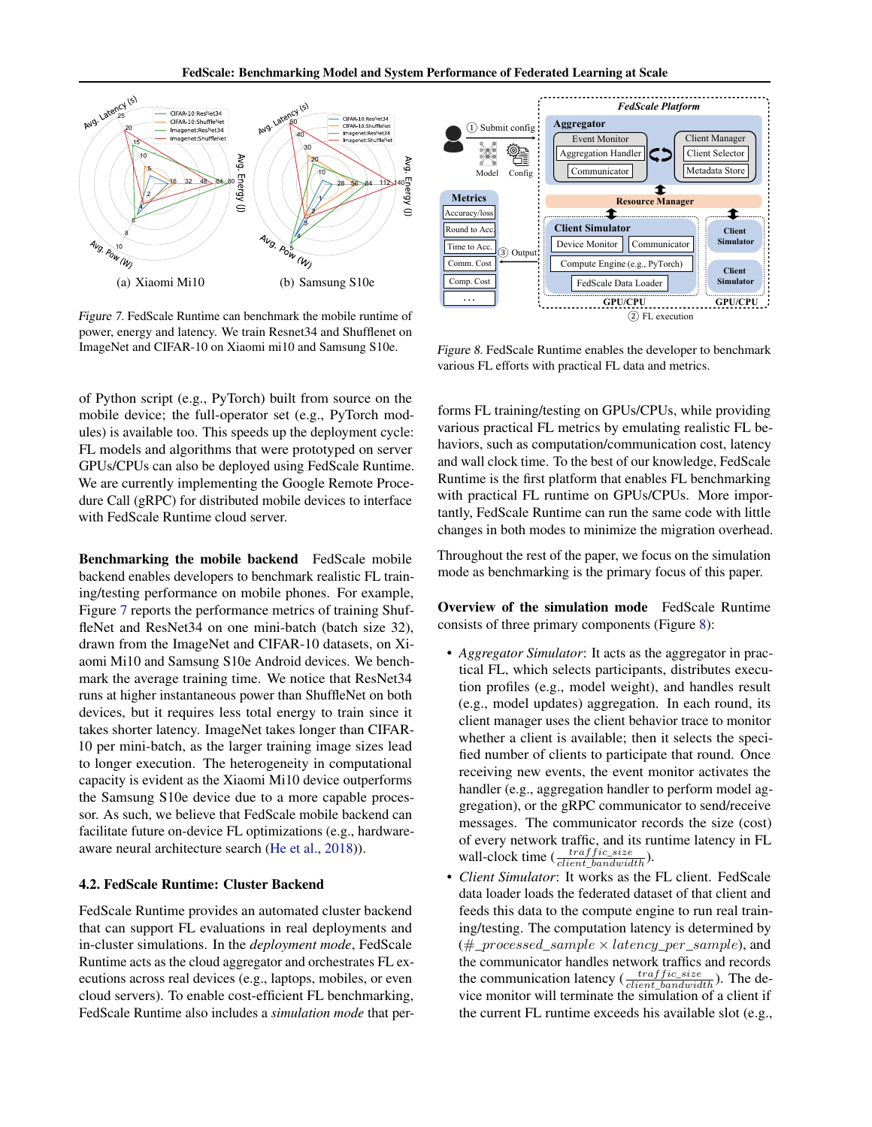FedScale: Benchmarking Model and System Performance of Federated Learning at Scale



<span id="page-4-0"></span>Figure 7. FedScale Runtime can benchmark the mobile runtime of power, energy and latency. We train Resnet34 and Shufflenet on ImageNet and CIFAR-10 on Xiaomi mi10 and Samsung S10e.

of Python script (e.g., PyTorch) built from source on the mobile device; the full-operator set (e.g., PyTorch modules) is available too. This speeds up the deployment cycle: FL models and algorithms that were prototyped on server GPUs/CPUs can also be deployed using FedScale Runtime. We are currently implementing the Google Remote Procedure Call (gRPC) for distributed mobile devices to interface with FedScale Runtime cloud server.

Benchmarking the mobile backend FedScale mobile backend enables developers to benchmark realistic FL training/testing performance on mobile phones. For example, Figure [7](#page-4-0) reports the performance metrics of training ShuffleNet and ResNet34 on one mini-batch (batch size 32), drawn from the ImageNet and CIFAR-10 datasets, on Xiaomi Mi10 and Samsung S10e Android devices. We benchmark the average training time. We notice that ResNet34 runs at higher instantaneous power than ShuffleNet on both devices, but it requires less total energy to train since it takes shorter latency. ImageNet takes longer than CIFAR-10 per mini-batch, as the larger training image sizes lead to longer execution. The heterogeneity in computational capacity is evident as the Xiaomi Mi10 device outperforms the Samsung S10e device due to a more capable processor. As such, we believe that FedScale mobile backend can facilitate future on-device FL optimizations (e.g., hardwareaware neural architecture search [\(He et al.,](#page-9-19) [2018\)](#page-9-19)).

## 4.2. FedScale Runtime: Cluster Backend

FedScale Runtime provides an automated cluster backend that can support FL evaluations in real deployments and in-cluster simulations. In the *deployment mode*, FedScale Runtime acts as the cloud aggregator and orchestrates FL executions across real devices (e.g., laptops, mobiles, or even cloud servers). To enable cost-efficient FL benchmarking, FedScale Runtime also includes a *simulation mode* that per-



<span id="page-4-1"></span>Figure 8. FedScale Runtime enables the developer to benchmark various FL efforts with practical FL data and metrics.

forms FL training/testing on GPUs/CPUs, while providing various practical FL metrics by emulating realistic FL behaviors, such as computation/communication cost, latency and wall clock time. To the best of our knowledge, FedScale Runtime is the first platform that enables FL benchmarking with practical FL runtime on GPUs/CPUs. More importantly, FedScale Runtime can run the same code with little changes in both modes to minimize the migration overhead.

Throughout the rest of the paper, we focus on the simulation mode as benchmarking is the primary focus of this paper.

Overview of the simulation mode FedScale Runtime consists of three primary components (Figure [8\)](#page-4-1):

- *Aggregator Simulator*: It acts as the aggregator in practical FL, which selects participants, distributes execution profiles (e.g., model weight), and handles result (e.g., model updates) aggregation. In each round, its client manager uses the client behavior trace to monitor whether a client is available; then it selects the specified number of clients to participate that round. Once receiving new events, the event monitor activates the handler (e.g., aggregation handler to perform model aggregation), or the gRPC communicator to send/receive messages. The communicator records the size (cost) of every network traffic, and its runtime latency in FL wall-clock time  $(\frac{traffic\_size}{client\_bandwidth}).$
- *Client Simulator*: It works as the FL client. FedScale data loader loads the federated dataset of that client and feeds this data to the compute engine to run real training/testing. The computation latency is determined by  $(\text{\#_processed\_sample} \times \text{latency\_per\_sample})$ , and the communicator handles network traffics and records the communication latency  $(\frac{traffic\_size}{client\_bandwidth})$ . The device monitor will terminate the simulation of a client if the current FL runtime exceeds his available slot (e.g.,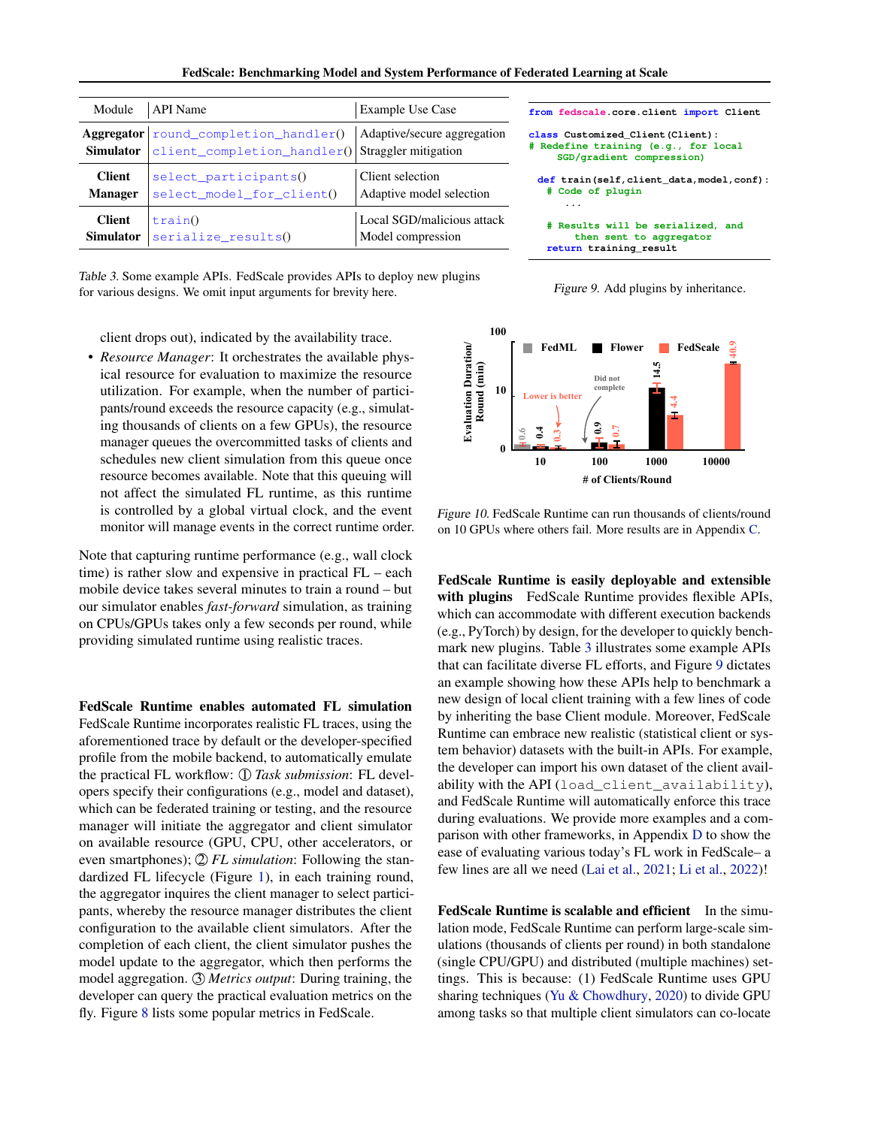FedScale: Benchmarking Model and System Performance of Federated Learning at Scale

| Module           | <b>API</b> Name                                                                             | <b>Example Use Case</b>     |  |  |
|------------------|---------------------------------------------------------------------------------------------|-----------------------------|--|--|
| <b>Simulator</b> | Aggregator   round_completion_handler()<br>client_completion_handler() Straggler mitigation | Adaptive/secure aggregation |  |  |
| <b>Client</b>    | select_participants()                                                                       | Client selection            |  |  |
| <b>Manager</b>   | select_model_for_client()                                                                   | Adaptive model selection    |  |  |
| <b>Client</b>    | train()                                                                                     | Local SGD/malicious attack  |  |  |
| <b>Simulator</b> | serialize_results()                                                                         | Model compression           |  |  |

**from fedscale.core.client import Client**

**class Customized\_Client(Client): # Redefine training (e.g., for local SGD/gradient compression) def train(self,client\_data,model,conf): # Code of plugin ... # Results will be serialized, and then sent to aggregator return training\_result**

<span id="page-5-1"></span>Figure 9. Add plugins by inheritance.

<span id="page-5-0"></span>Table 3. Some example APIs. FedScale provides APIs to deploy new plugins for various designs. We omit input arguments for brevity here.

client drops out), indicated by the availability trace.

• *Resource Manager*: It orchestrates the available physical resource for evaluation to maximize the resource utilization. For example, when the number of participants/round exceeds the resource capacity (e.g., simulating thousands of clients on a few GPUs), the resource manager queues the overcommitted tasks of clients and schedules new client simulation from this queue once resource becomes available. Note that this queuing will not affect the simulated FL runtime, as this runtime is controlled by a global virtual clock, and the event monitor will manage events in the correct runtime order.

Note that capturing runtime performance (e.g., wall clock time) is rather slow and expensive in practical FL – each mobile device takes several minutes to train a round – but our simulator enables *fast-forward* simulation, as training on CPUs/GPUs takes only a few seconds per round, while providing simulated runtime using realistic traces.

FedScale Runtime enables automated FL simulation FedScale Runtime incorporates realistic FL traces, using the aforementioned trace by default or the developer-specified profile from the mobile backend, to automatically emulate the practical FL workflow:  $\textcircled{1}$  *Task submission*: FL developers specify their configurations (e.g., model and dataset), which can be federated training or testing, and the resource manager will initiate the aggregator and client simulator on available resource (GPU, CPU, other accelerators, or even smartphones); 2 *FL simulation*: Following the standardized FL lifecycle (Figure [1\)](#page-0-0), in each training round, the aggregator inquires the client manager to select participants, whereby the resource manager distributes the client configuration to the available client simulators. After the completion of each client, the client simulator pushes the model update to the aggregator, which then performs the model aggregation. 3 *Metrics output*: During training, the developer can query the practical evaluation metrics on the fly. Figure [8](#page-4-1) lists some popular metrics in FedScale.



<span id="page-5-2"></span>Figure 10. FedScale Runtime can run thousands of clients/round on 10 GPUs where others fail. More results are in Appendix [C.](#page-11-0)

the developer can import his own dataset of the client avail-FedScale Runtime is easily deployable and extensible with plugins FedScale Runtime provides flexible APIs, which can accommodate with different execution backends (e.g., PyTorch) by design, for the developer to quickly benchmark new plugins. Table [3](#page-5-0) illustrates some example APIs that can facilitate diverse FL efforts, and Figure [9](#page-5-1) dictates an example showing how these APIs help to benchmark a new design of local client training with a few lines of code by inheriting the base Client module. Moreover, FedScale Runtime can embrace new realistic (statistical client or system behavior) datasets with the built-in APIs. For example, ability with the API (load client availability), and FedScale Runtime will automatically enforce this trace during evaluations. We provide more examples and a comparison with other frameworks, in Appendix [D](#page-13-0) to show the ease of evaluating various today's FL work in FedScale– a few lines are all we need [\(Lai et al.,](#page-9-10) [2021;](#page-9-10) [Li et al.,](#page-9-20) [2022\)](#page-9-20)!

FedScale Runtime is scalable and efficient In the simulation mode, FedScale Runtime can perform large-scale simulations (thousands of clients per round) in both standalone (single CPU/GPU) and distributed (multiple machines) settings. This is because: (1) FedScale Runtime uses GPU sharing techniques [\(Yu & Chowdhury,](#page-10-12) [2020\)](#page-10-12) to divide GPU among tasks so that multiple client simulators can co-locate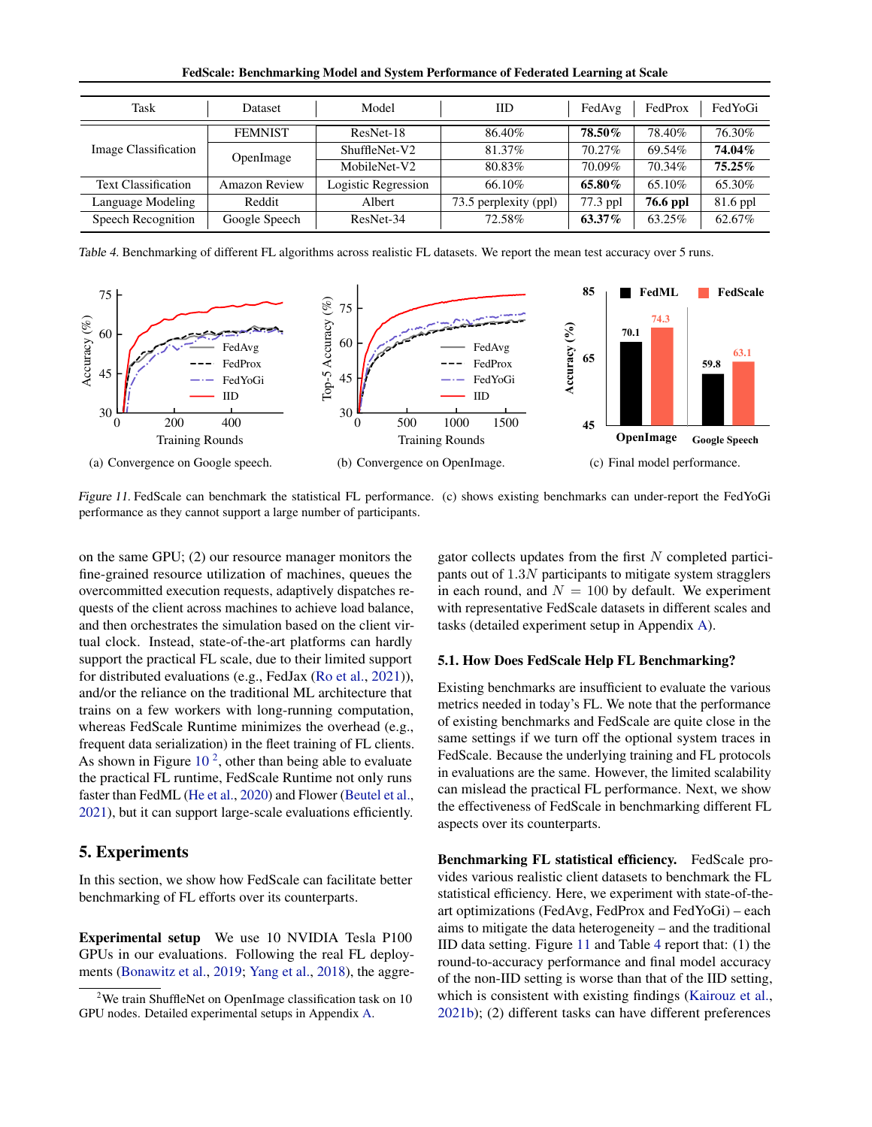| Model<br>Task<br>Dataset   |                      | IID                 | FedAvg                | FedProx  | FedYoGi  |            |
|----------------------------|----------------------|---------------------|-----------------------|----------|----------|------------|
|                            |                      |                     |                       |          |          |            |
| Image Classification       | <b>FEMNIST</b>       | ResNet-18           | 86.40%                | 78.50%   | 78.40%   | 76.30%     |
|                            | OpenImage            | ShuffleNet-V2       | 81.37%                | 70.27%   | 69.54%   | 74.04%     |
|                            |                      | MobileNet-V2        | 80.83%                | 70.09%   | 70.34%   | $75.25\%$  |
| <b>Text Classification</b> | <b>Amazon Review</b> | Logistic Regression | 66.10%                | 65.80%   | 65.10%   | 65.30%     |
| Language Modeling          | Reddit               | Albert              | 73.5 perplexity (ppl) | 77.3 ppl | 76.6 ppl | $81.6$ ppl |
| Speech Recognition         | Google Speech        | ResNet-34           | 72.58%                | 63.37%   | 63.25%   | 62.67%     |

FedScale: Benchmarking Model and System Performance of Federated Learning at Scale

<span id="page-6-3"></span>Table 4. Benchmarking of different FL algorithms across realistic FL datasets. We report the mean test accuracy over 5 runs.



<span id="page-6-2"></span>Figure 11. FedScale can benchmark the statistical FL performance. (c) shows existing benchmarks can under-report the FedYoGi performance as they cannot support a large number of participants.

on the same GPU; (2) our resource manager monitors the fine-grained resource utilization of machines, queues the overcommitted execution requests, adaptively dispatches requests of the client across machines to achieve load balance, and then orchestrates the simulation based on the client virtual clock. Instead, state-of-the-art platforms can hardly support the practical FL scale, due to their limited support for distributed evaluations (e.g., FedJax [\(Ro et al.,](#page-10-13) [2021\)](#page-10-13)), and/or the reliance on the traditional ML architecture that trains on a few workers with long-running computation, whereas FedScale Runtime minimizes the overhead (e.g., frequent data serialization) in the fleet training of FL clients. As shown in Figure  $10<sup>2</sup>$  $10<sup>2</sup>$  $10<sup>2</sup>$  $10<sup>2</sup>$ , other than being able to evaluate the practical FL runtime, FedScale Runtime not only runs faster than FedML [\(He et al.,](#page-9-7) [2020\)](#page-9-7) and Flower [\(Beutel et al.,](#page-9-8) [2021\)](#page-9-8), but it can support large-scale evaluations efficiently.

## <span id="page-6-0"></span>5. Experiments

In this section, we show how FedScale can facilitate better benchmarking of FL efforts over its counterparts.

Experimental setup We use 10 NVIDIA Tesla P100 GPUs in our evaluations. Following the real FL deployments [\(Bonawitz et al.,](#page-9-0) [2019;](#page-9-0) [Yang et al.,](#page-10-3) [2018\)](#page-10-3), the aggre<span id="page-6-4"></span>gator collects updates from the first  $N$  completed participants out of  $1.3N$  participants to mitigate system stragglers in each round, and  $N = 100$  by default. We experiment with representative FedScale datasets in different scales and tasks (detailed experiment setup in Appendix [A\)](#page-11-2).

#### 5.1. How Does FedScale Help FL Benchmarking?

Existing benchmarks are insufficient to evaluate the various metrics needed in today's FL. We note that the performance of existing benchmarks and FedScale are quite close in the same settings if we turn off the optional system traces in FedScale. Because the underlying training and FL protocols in evaluations are the same. However, the limited scalability can mislead the practical FL performance. Next, we show the effectiveness of FedScale in benchmarking different FL aspects over its counterparts.

Benchmarking FL statistical efficiency. FedScale provides various realistic client datasets to benchmark the FL statistical efficiency. Here, we experiment with state-of-theart optimizations (FedAvg, FedProx and FedYoGi) – each aims to mitigate the data heterogeneity – and the traditional IID data setting. Figure [11](#page-6-2) and Table [4](#page-6-3) report that: (1) the round-to-accuracy performance and final model accuracy of the non-IID setting is worse than that of the IID setting, which is consistent with existing findings [\(Kairouz et al.,](#page-9-1) [2021b\)](#page-9-1); (2) different tasks can have different preferences

<span id="page-6-1"></span><sup>&</sup>lt;sup>2</sup>We train ShuffleNet on OpenImage classification task on  $10$ GPU nodes. Detailed experimental setups in Appendix [A.](#page-11-2)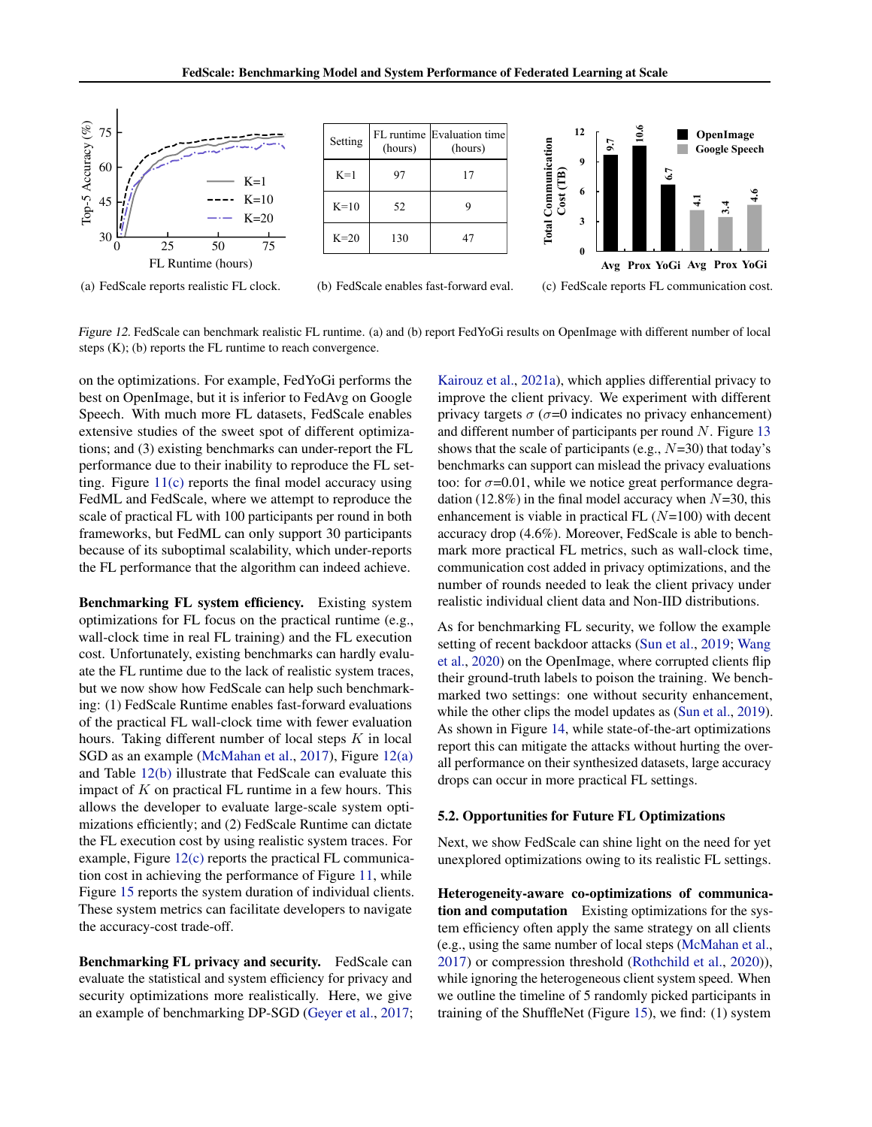<span id="page-7-0"></span>

(a) FedScale reports realistic FL clock.





<span id="page-7-1"></span>(b) FedScale enables fast-forward eval.

<span id="page-7-2"></span>

1 Figure 12. FedScale can benchmark realistic FL runtime. (a) and (b) report FedYoGi results on OpenImage with different number of local steps (K); (b) reports the FL runtime to reach convergence.

on the optimizations. For example, FedYoGi performs the best on OpenImage, but it is inferior to FedAvg on Google Speech. With much more FL datasets, FedScale enables extensive studies of the sweet spot of different optimizations; and (3) existing benchmarks can under-report the FL performance due to their inability to reproduce the FL setting. Figure  $11(c)$  reports the final model accuracy using FedML and FedScale, where we attempt to reproduce the scale of practical FL with 100 participants per round in both frameworks, but FedML can only support 30 participants because of its suboptimal scalability, which under-reports the FL performance that the algorithm can indeed achieve.

Benchmarking FL system efficiency. Existing system optimizations for FL focus on the practical runtime (e.g., wall-clock time in real FL training) and the FL execution cost. Unfortunately, existing benchmarks can hardly evaluate the FL runtime due to the lack of realistic system traces, but we now show how FedScale can help such benchmarking: (1) FedScale Runtime enables fast-forward evaluations of the practical FL wall-clock time with fewer evaluation hours. Taking different number of local steps  $K$  in local SGD as an example [\(McMahan et al.,](#page-10-1) [2017\)](#page-10-1), Figure [12\(a\)](#page-7-0) and Table [12\(b\)](#page-7-1) illustrate that FedScale can evaluate this impact of  $K$  on practical FL runtime in a few hours. This allows the developer to evaluate large-scale system optimizations efficiently; and (2) FedScale Runtime can dictate the FL execution cost by using realistic system traces. For example, Figure [12\(c\)](#page-7-2) reports the practical FL communication cost in achieving the performance of Figure [11,](#page-6-2) while Figure [15](#page-8-2) reports the system duration of individual clients. These system metrics can facilitate developers to navigate the accuracy-cost trade-off.

Benchmarking FL privacy and security. FedScale can evaluate the statistical and system efficiency for privacy and security optimizations more realistically. Here, we give an example of benchmarking DP-SGD [\(Geyer et al.,](#page-9-16) [2017;](#page-9-16)

[Kairouz et al.,](#page-9-3) [2021a\)](#page-9-3), which applies differential privacy to improve the client privacy. We experiment with different privacy targets  $\sigma$  ( $\sigma$ =0 indicates no privacy enhancement) and different number of participants per round  $N$ . Figure [13](#page-8-3) shows that the scale of participants (e.g.,  $N=30$ ) that today's benchmarks can support can mislead the privacy evaluations too: for  $\sigma$ =0.01, while we notice great performance degradation (12.8%) in the final model accuracy when  $N=30$ , this enhancement is viable in practical FL  $(N=100)$  with decent accuracy drop (4.6%). Moreover, FedScale is able to benchmark more practical FL metrics, such as wall-clock time, communication cost added in privacy optimizations, and the number of rounds needed to leak the client privacy under realistic individual client data and Non-IID distributions.

As for benchmarking FL security, we follow the example setting of recent backdoor attacks [\(Sun et al.,](#page-10-14) [2019;](#page-10-14) [Wang](#page-10-8) [et al.,](#page-10-8) [2020\)](#page-10-8) on the OpenImage, where corrupted clients flip their ground-truth labels to poison the training. We benchmarked two settings: one without security enhancement, while the other clips the model updates as [\(Sun et al.,](#page-10-14) [2019\)](#page-10-14). As shown in Figure [14,](#page-8-4) while state-of-the-art optimizations report this can mitigate the attacks without hurting the overall performance on their synthesized datasets, large accuracy drops can occur in more practical FL settings.

## 5.2. Opportunities for Future FL Optimizations

Next, we show FedScale can shine light on the need for yet unexplored optimizations owing to its realistic FL settings.

Heterogeneity-aware co-optimizations of communication and computation Existing optimizations for the system efficiency often apply the same strategy on all clients (e.g., using the same number of local steps [\(McMahan et al.,](#page-10-1) [2017\)](#page-10-1) or compression threshold [\(Rothchild et al.,](#page-10-7) [2020\)](#page-10-7)), while ignoring the heterogeneous client system speed. When we outline the timeline of 5 randomly picked participants in training of the ShuffleNet (Figure [15\)](#page-8-2), we find: (1) system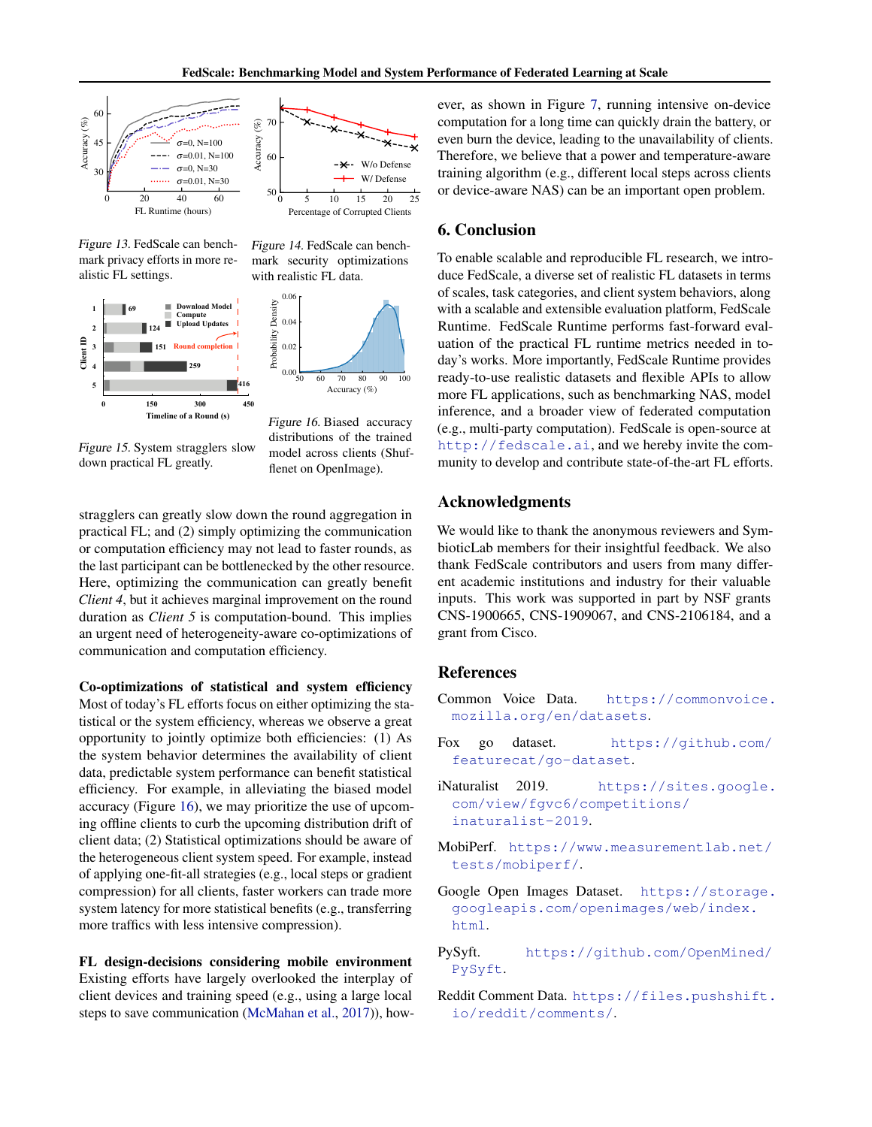

<span id="page-8-3"></span>Figure 13. FedScale can benchmark privacy efforts in more realistic FL settings.



<span id="page-8-4"></span>Figure 14. FedScale can benchmark security optimizations with realistic FL data.



<span id="page-8-2"></span>Figure 15. System stragglers slow down practical FL greatly.

<span id="page-8-5"></span>model across clients (Shuf-Figure 16. Biased accuracy distributions of the trained flenet on OpenImage).

stragglers can greatly slow down the round aggregation in practical FL; and (2) simply optimizing the communication or computation efficiency may not lead to faster rounds, as the last participant can be bottlenecked by the other resource. Here, optimizing the communication can greatly benefit *Client 4*, but it achieves marginal improvement on the round duration as *Client 5* is computation-bound. This implies an urgent need of heterogeneity-aware co-optimizations of communication and computation efficiency.

Co-optimizations of statistical and system efficiency Most of today's FL efforts focus on either optimizing the statistical or the system efficiency, whereas we observe a great opportunity to jointly optimize both efficiencies: (1) As the system behavior determines the availability of client data, predictable system performance can benefit statistical efficiency. For example, in alleviating the biased model accuracy (Figure [16\)](#page-8-5), we may prioritize the use of upcoming offline clients to curb the upcoming distribution drift of client data; (2) Statistical optimizations should be aware of the heterogeneous client system speed. For example, instead of applying one-fit-all strategies (e.g., local steps or gradient compression) for all clients, faster workers can trade more system latency for more statistical benefits (e.g., transferring more traffics with less intensive compression).

FL design-decisions considering mobile environment Existing efforts have largely overlooked the interplay of client devices and training speed (e.g., using a large local steps to save communication [\(McMahan et al.,](#page-10-1) [2017\)](#page-10-1)), however, as shown in Figure [7,](#page-4-0) running intensive on-device computation for a long time can quickly drain the battery, or even burn the device, leading to the unavailability of clients. Therefore, we believe that a power and temperature-aware training algorithm (e.g., different local steps across clients or device-aware NAS) can be an important open problem.

## 6. Conclusion

To enable scalable and reproducible FL research, we introduce FedScale, a diverse set of realistic FL datasets in terms of scales, task categories, and client system behaviors, along with a scalable and extensible evaluation platform, FedScale Runtime. FedScale Runtime performs fast-forward evaluation of the practical FL runtime metrics needed in today's works. More importantly, FedScale Runtime provides ready-to-use realistic datasets and flexible APIs to allow more FL applications, such as benchmarking NAS, model inference, and a broader view of federated computation (e.g., multi-party computation). FedScale is open-source at <http://fedscale.ai>, and we hereby invite the community to develop and contribute state-of-the-art FL efforts.

## Acknowledgments

We would like to thank the anonymous reviewers and SymbioticLab members for their insightful feedback. We also thank FedScale contributors and users from many different academic institutions and industry for their valuable inputs. This work was supported in part by NSF grants CNS-1900665, CNS-1909067, and CNS-2106184, and a grant from Cisco.

## References

- <span id="page-8-9"></span>Common Voice Data. [https://commonvoice.](https://commonvoice.mozilla.org/en/datasets) [mozilla.org/en/datasets](https://commonvoice.mozilla.org/en/datasets).
- <span id="page-8-10"></span>Fox go dataset. [https://github.com/](https://github.com/featurecat/go-dataset) [featurecat/go-dataset](https://github.com/featurecat/go-dataset).
- <span id="page-8-8"></span>iNaturalist 2019. [https://sites.google.](https://sites.google.com/view/fgvc6/competitions/inaturalist-2019) [com/view/fgvc6/competitions/](https://sites.google.com/view/fgvc6/competitions/inaturalist-2019) [inaturalist-2019](https://sites.google.com/view/fgvc6/competitions/inaturalist-2019).
- <span id="page-8-1"></span>MobiPerf. [https://www.measurementlab.net/](https://www.measurementlab.net/tests/mobiperf/) [tests/mobiperf/](https://www.measurementlab.net/tests/mobiperf/).
- <span id="page-8-6"></span>Google Open Images Dataset. [https://storage.](https://storage.googleapis.com/openimages/web/index.html) [googleapis.com/openimages/web/index.](https://storage.googleapis.com/openimages/web/index.html) [html](https://storage.googleapis.com/openimages/web/index.html).
- <span id="page-8-0"></span>PySyft. [https://github.com/OpenMined/](https://github.com/OpenMined/PySyft) [PySyft](https://github.com/OpenMined/PySyft).
- <span id="page-8-7"></span>Reddit Comment Data. [https://files.pushshift.](https://files.pushshift.io/reddit/comments/) [io/reddit/comments/](https://files.pushshift.io/reddit/comments/).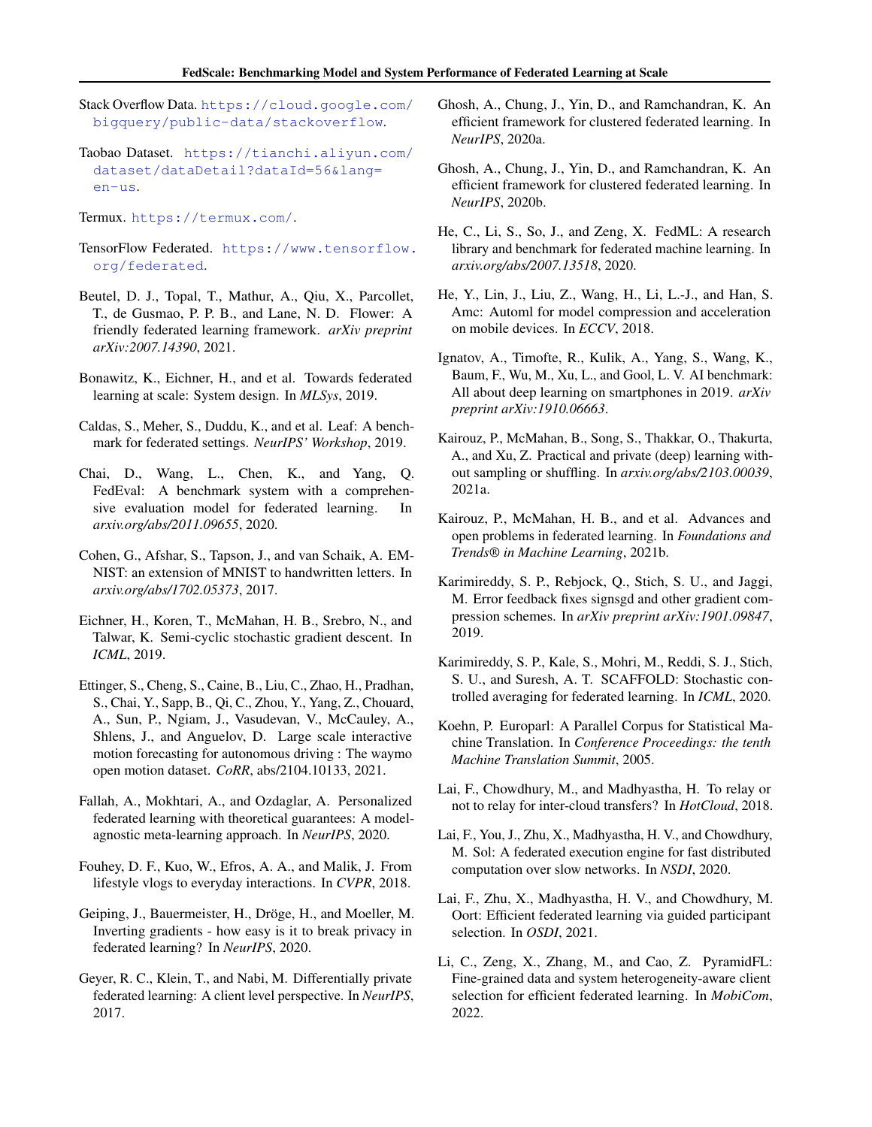- <span id="page-9-21"></span>Stack Overflow Data. [https://cloud.google.com/](https://cloud.google.com/bigquery/public-data/stackoverflow) [bigquery/public-data/stackoverflow](https://cloud.google.com/bigquery/public-data/stackoverflow).
- <span id="page-9-23"></span>Taobao Dataset. [https://tianchi.aliyun.com/](https://tianchi.aliyun.com/dataset/dataDetail?dataId=56&lang=en-us) [dataset/dataDetail?dataId=56&lang=](https://tianchi.aliyun.com/dataset/dataDetail?dataId=56&lang=en-us) [en-us](https://tianchi.aliyun.com/dataset/dataDetail?dataId=56&lang=en-us).
- <span id="page-9-18"></span>Termux. <https://termux.com/>.
- <span id="page-9-6"></span>TensorFlow Federated. [https://www.tensorflow.](https://www.tensorflow.org/federated) [org/federated](https://www.tensorflow.org/federated).
- <span id="page-9-8"></span>Beutel, D. J., Topal, T., Mathur, A., Qiu, X., Parcollet, T., de Gusmao, P. P. B., and Lane, N. D. Flower: A friendly federated learning framework. *arXiv preprint arXiv:2007.14390*, 2021.
- <span id="page-9-0"></span>Bonawitz, K., Eichner, H., and et al. Towards federated learning at scale: System design. In *MLSys*, 2019.
- <span id="page-9-5"></span>Caldas, S., Meher, S., Duddu, K., and et al. Leaf: A benchmark for federated settings. *NeurIPS' Workshop*, 2019.
- <span id="page-9-25"></span>Chai, D., Wang, L., Chen, K., and Yang, Q. FedEval: A benchmark system with a comprehensive evaluation model for federated learning. In *arxiv.org/abs/2011.09655*, 2020.
- <span id="page-9-27"></span>Cohen, G., Afshar, S., Tapson, J., and van Schaik, A. EM-NIST: an extension of MNIST to handwritten letters. In *arxiv.org/abs/1702.05373*, 2017.
- <span id="page-9-4"></span>Eichner, H., Koren, T., McMahan, H. B., Srebro, N., and Talwar, K. Semi-cyclic stochastic gradient descent. In *ICML*, 2019.
- <span id="page-9-24"></span>Ettinger, S., Cheng, S., Caine, B., Liu, C., Zhao, H., Pradhan, S., Chai, Y., Sapp, B., Qi, C., Zhou, Y., Yang, Z., Chouard, A., Sun, P., Ngiam, J., Vasudevan, V., McCauley, A., Shlens, J., and Anguelov, D. Large scale interactive motion forecasting for autonomous driving : The waymo open motion dataset. *CoRR*, abs/2104.10133, 2021.
- <span id="page-9-11"></span>Fallah, A., Mokhtari, A., and Ozdaglar, A. Personalized federated learning with theoretical guarantees: A modelagnostic meta-learning approach. In *NeurIPS*, 2020.
- <span id="page-9-22"></span>Fouhey, D. F., Kuo, W., Efros, A. A., and Malik, J. From lifestyle vlogs to everyday interactions. In *CVPR*, 2018.
- <span id="page-9-15"></span>Geiping, J., Bauermeister, H., Dröge, H., and Moeller, M. Inverting gradients - how easy is it to break privacy in federated learning? In *NeurIPS*, 2020.
- <span id="page-9-16"></span>Geyer, R. C., Klein, T., and Nabi, M. Differentially private federated learning: A client level perspective. In *NeurIPS*, 2017.
- <span id="page-9-12"></span>Ghosh, A., Chung, J., Yin, D., and Ramchandran, K. An efficient framework for clustered federated learning. In *NeurIPS*, 2020a.
- <span id="page-9-2"></span>Ghosh, A., Chung, J., Yin, D., and Ramchandran, K. An efficient framework for clustered federated learning. In *NeurIPS*, 2020b.
- <span id="page-9-7"></span>He, C., Li, S., So, J., and Zeng, X. FedML: A research library and benchmark for federated machine learning. In *arxiv.org/abs/2007.13518*, 2020.
- <span id="page-9-19"></span>He, Y., Lin, J., Liu, Z., Wang, H., Li, L.-J., and Han, S. Amc: Automl for model compression and acceleration on mobile devices. In *ECCV*, 2018.
- <span id="page-9-17"></span>Ignatov, A., Timofte, R., Kulik, A., Yang, S., Wang, K., Baum, F., Wu, M., Xu, L., and Gool, L. V. AI benchmark: All about deep learning on smartphones in 2019. *arXiv preprint arXiv:1910.06663*.
- <span id="page-9-3"></span>Kairouz, P., McMahan, B., Song, S., Thakkar, O., Thakurta, A., and Xu, Z. Practical and private (deep) learning without sampling or shuffling. In *arxiv.org/abs/2103.00039*, 2021a.
- <span id="page-9-1"></span>Kairouz, P., McMahan, H. B., and et al. Advances and open problems in federated learning. In *Foundations and Trends® in Machine Learning*, 2021b.
- <span id="page-9-14"></span>Karimireddy, S. P., Rebjock, Q., Stich, S. U., and Jaggi, M. Error feedback fixes signsgd and other gradient compression schemes. In *arXiv preprint arXiv:1901.09847*, 2019.
- <span id="page-9-9"></span>Karimireddy, S. P., Kale, S., Mohri, M., Reddi, S. J., Stich, S. U., and Suresh, A. T. SCAFFOLD: Stochastic controlled averaging for federated learning. In *ICML*, 2020.
- <span id="page-9-28"></span>Koehn, P. Europarl: A Parallel Corpus for Statistical Machine Translation. In *Conference Proceedings: the tenth Machine Translation Summit*, 2005.
- <span id="page-9-26"></span>Lai, F., Chowdhury, M., and Madhyastha, H. To relay or not to relay for inter-cloud transfers? In *HotCloud*, 2018.
- <span id="page-9-13"></span>Lai, F., You, J., Zhu, X., Madhyastha, H. V., and Chowdhury, M. Sol: A federated execution engine for fast distributed computation over slow networks. In *NSDI*, 2020.
- <span id="page-9-10"></span>Lai, F., Zhu, X., Madhyastha, H. V., and Chowdhury, M. Oort: Efficient federated learning via guided participant selection. In *OSDI*, 2021.
- <span id="page-9-20"></span>Li, C., Zeng, X., Zhang, M., and Cao, Z. PyramidFL: Fine-grained data and system heterogeneity-aware client selection for efficient federated learning. In *MobiCom*, 2022.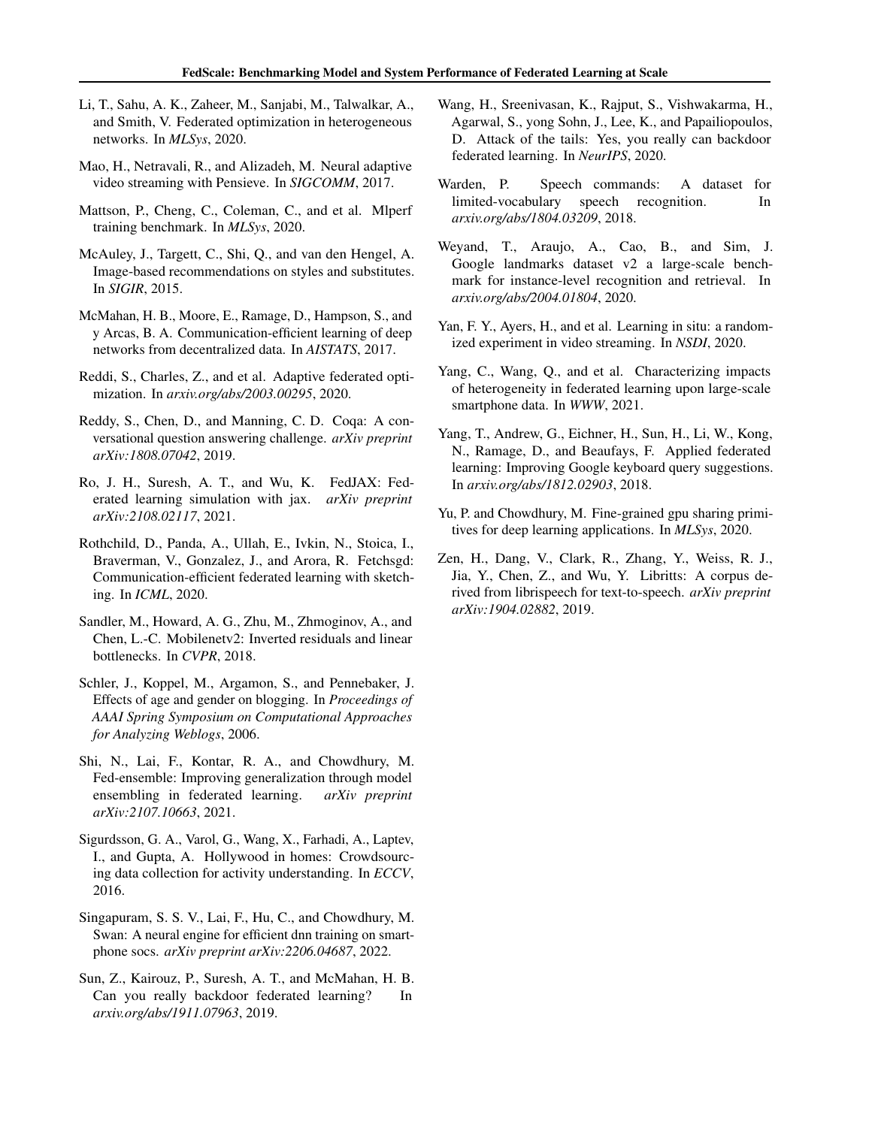- <span id="page-10-2"></span>Li, T., Sahu, A. K., Zaheer, M., Sanjabi, M., Talwalkar, A., and Smith, V. Federated optimization in heterogeneous networks. In *MLSys*, 2020.
- <span id="page-10-17"></span>Mao, H., Netravali, R., and Alizadeh, M. Neural adaptive video streaming with Pensieve. In *SIGCOMM*, 2017.
- <span id="page-10-4"></span>Mattson, P., Cheng, C., Coleman, C., and et al. Mlperf training benchmark. In *MLSys*, 2020.
- <span id="page-10-21"></span>McAuley, J., Targett, C., Shi, Q., and van den Hengel, A. Image-based recommendations on styles and substitutes. In *SIGIR*, 2015.
- <span id="page-10-1"></span>McMahan, H. B., Moore, E., Ramage, D., Hampson, S., and y Arcas, B. A. Communication-efficient learning of deep networks from decentralized data. In *AISTATS*, 2017.
- <span id="page-10-5"></span>Reddi, S., Charles, Z., and et al. Adaptive federated optimization. In *arxiv.org/abs/2003.00295*, 2020.
- <span id="page-10-22"></span>Reddy, S., Chen, D., and Manning, C. D. Coqa: A conversational question answering challenge. *arXiv preprint arXiv:1808.07042*, 2019.
- <span id="page-10-13"></span>Ro, J. H., Suresh, A. T., and Wu, K. FedJAX: Federated learning simulation with jax. *arXiv preprint arXiv:2108.02117*, 2021.
- <span id="page-10-7"></span>Rothchild, D., Panda, A., Ullah, E., Ivkin, N., Stoica, I., Braverman, V., Gonzalez, J., and Arora, R. Fetchsgd: Communication-efficient federated learning with sketching. In *ICML*, 2020.
- <span id="page-10-0"></span>Sandler, M., Howard, A. G., Zhu, M., Zhmoginov, A., and Chen, L.-C. Mobilenetv2: Inverted residuals and linear bottlenecks. In *CVPR*, 2018.
- <span id="page-10-20"></span>Schler, J., Koppel, M., Argamon, S., and Pennebaker, J. Effects of age and gender on blogging. In *Proceedings of AAAI Spring Symposium on Computational Approaches for Analyzing Weblogs*, 2006.
- <span id="page-10-6"></span>Shi, N., Lai, F., Kontar, R. A., and Chowdhury, M. Fed-ensemble: Improving generalization through model ensembling in federated learning. *arXiv preprint arXiv:2107.10663*, 2021.
- <span id="page-10-19"></span>Sigurdsson, G. A., Varol, G., Wang, X., Farhadi, A., Laptev, I., and Gupta, A. Hollywood in homes: Crowdsourcing data collection for activity understanding. In *ECCV*, 2016.
- <span id="page-10-11"></span>Singapuram, S. S. V., Lai, F., Hu, C., and Chowdhury, M. Swan: A neural engine for efficient dnn training on smartphone socs. *arXiv preprint arXiv:2206.04687*, 2022.
- <span id="page-10-14"></span>Sun, Z., Kairouz, P., Suresh, A. T., and McMahan, H. B. Can you really backdoor federated learning? In *arxiv.org/abs/1911.07963*, 2019.
- <span id="page-10-8"></span>Wang, H., Sreenivasan, K., Rajput, S., Vishwakarma, H., Agarwal, S., yong Sohn, J., Lee, K., and Papailiopoulos, D. Attack of the tails: Yes, you really can backdoor federated learning. In *NeurIPS*, 2020.
- <span id="page-10-15"></span>Warden, P. Speech commands: A dataset for limited-vocabulary speech recognition. In *arxiv.org/abs/1804.03209*, 2018.
- <span id="page-10-18"></span>Weyand, T., Araujo, A., Cao, B., and Sim, J. Google landmarks dataset v2 a large-scale benchmark for instance-level recognition and retrieval. In *arxiv.org/abs/2004.01804*, 2020.
- <span id="page-10-9"></span>Yan, F. Y., Ayers, H., and et al. Learning in situ: a randomized experiment in video streaming. In *NSDI*, 2020.
- <span id="page-10-10"></span>Yang, C., Wang, Q., and et al. Characterizing impacts of heterogeneity in federated learning upon large-scale smartphone data. In *WWW*, 2021.
- <span id="page-10-3"></span>Yang, T., Andrew, G., Eichner, H., Sun, H., Li, W., Kong, N., Ramage, D., and Beaufays, F. Applied federated learning: Improving Google keyboard query suggestions. In *arxiv.org/abs/1812.02903*, 2018.
- <span id="page-10-12"></span>Yu, P. and Chowdhury, M. Fine-grained gpu sharing primitives for deep learning applications. In *MLSys*, 2020.
- <span id="page-10-16"></span>Zen, H., Dang, V., Clark, R., Zhang, Y., Weiss, R. J., Jia, Y., Chen, Z., and Wu, Y. Libritts: A corpus derived from librispeech for text-to-speech. *arXiv preprint arXiv:1904.02882*, 2019.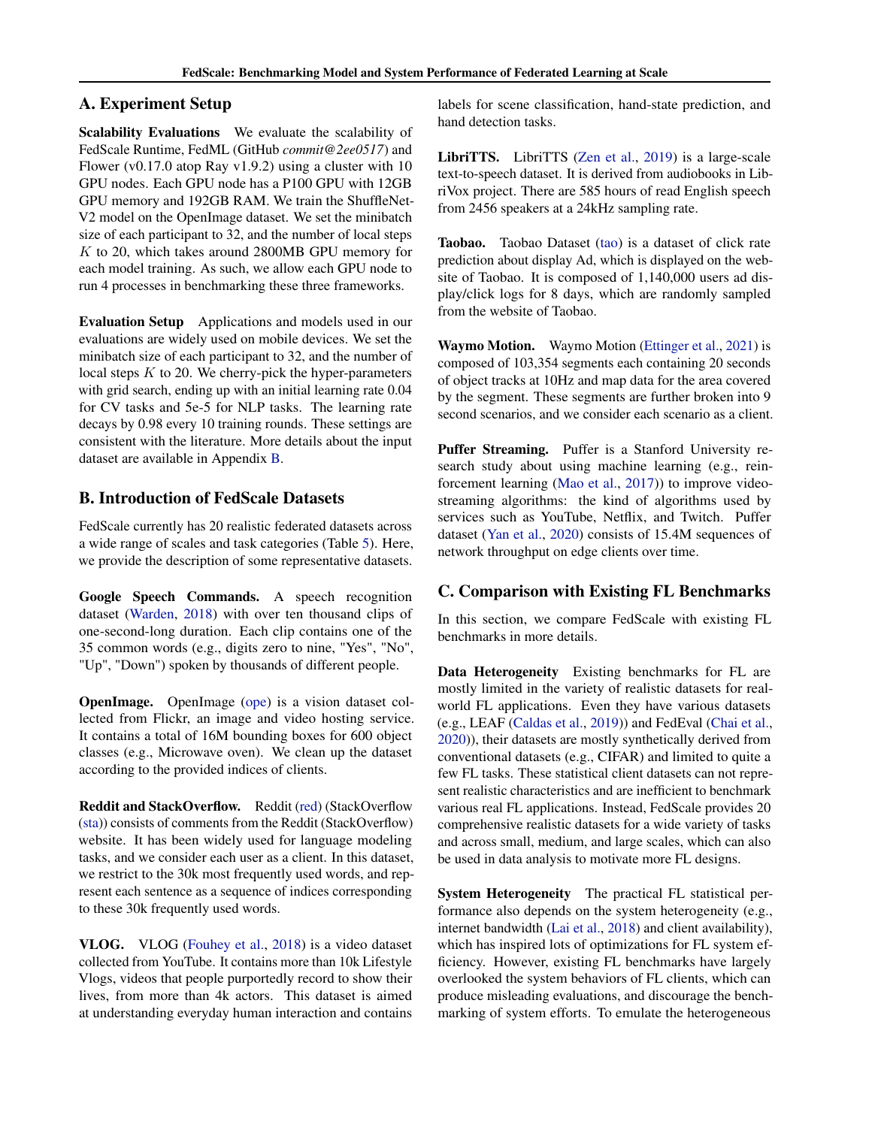## <span id="page-11-2"></span>A. Experiment Setup

Scalability Evaluations We evaluate the scalability of FedScale Runtime, FedML (GitHub *commit@2ee0517*) and Flower (v0.17.0 atop Ray v1.9.2) using a cluster with 10 GPU nodes. Each GPU node has a P100 GPU with 12GB GPU memory and 192GB RAM. We train the ShuffleNet-V2 model on the OpenImage dataset. We set the minibatch size of each participant to 32, and the number of local steps K to 20, which takes around 2800MB GPU memory for each model training. As such, we allow each GPU node to run 4 processes in benchmarking these three frameworks.

Evaluation Setup Applications and models used in our evaluations are widely used on mobile devices. We set the minibatch size of each participant to 32, and the number of local steps  $K$  to 20. We cherry-pick the hyper-parameters with grid search, ending up with an initial learning rate 0.04 for CV tasks and 5e-5 for NLP tasks. The learning rate decays by 0.98 every 10 training rounds. These settings are consistent with the literature. More details about the input dataset are available in Appendix [B.](#page-11-1)

## <span id="page-11-1"></span>B. Introduction of FedScale Datasets

FedScale currently has 20 realistic federated datasets across a wide range of scales and task categories (Table [5\)](#page-12-0). Here, we provide the description of some representative datasets.

Google Speech Commands. A speech recognition dataset [\(Warden,](#page-10-15) [2018\)](#page-10-15) with over ten thousand clips of one-second-long duration. Each clip contains one of the 35 common words (e.g., digits zero to nine, "Yes", "No", "Up", "Down") spoken by thousands of different people.

**OpenImage.** OpenImage [\(ope\)](#page-8-6) is a vision dataset collected from Flickr, an image and video hosting service. It contains a total of 16M bounding boxes for 600 object classes (e.g., Microwave oven). We clean up the dataset according to the provided indices of clients.

Reddit and StackOverflow. Reddit [\(red\)](#page-8-7) (StackOverflow [\(sta\)](#page-9-21)) consists of comments from the Reddit (StackOverflow) website. It has been widely used for language modeling tasks, and we consider each user as a client. In this dataset, we restrict to the 30k most frequently used words, and represent each sentence as a sequence of indices corresponding to these 30k frequently used words.

VLOG. VLOG [\(Fouhey et al.,](#page-9-22) [2018\)](#page-9-22) is a video dataset collected from YouTube. It contains more than 10k Lifestyle Vlogs, videos that people purportedly record to show their lives, from more than 4k actors. This dataset is aimed at understanding everyday human interaction and contains

labels for scene classification, hand-state prediction, and hand detection tasks.

LibriTTS. LibriTTS [\(Zen et al.,](#page-10-16) [2019\)](#page-10-16) is a large-scale text-to-speech dataset. It is derived from audiobooks in LibriVox project. There are 585 hours of read English speech from 2456 speakers at a 24kHz sampling rate.

Taobao. Taobao Dataset [\(tao\)](#page-9-23) is a dataset of click rate prediction about display Ad, which is displayed on the website of Taobao. It is composed of 1,140,000 users ad display/click logs for 8 days, which are randomly sampled from the website of Taobao.

Waymo Motion. Waymo Motion [\(Ettinger et al.,](#page-9-24) [2021\)](#page-9-24) is composed of 103,354 segments each containing 20 seconds of object tracks at 10Hz and map data for the area covered by the segment. These segments are further broken into 9 second scenarios, and we consider each scenario as a client.

Puffer Streaming. Puffer is a Stanford University research study about using machine learning (e.g., reinforcement learning [\(Mao et al.,](#page-10-17) [2017\)](#page-10-17)) to improve videostreaming algorithms: the kind of algorithms used by services such as YouTube, Netflix, and Twitch. Puffer dataset [\(Yan et al.,](#page-10-9) [2020\)](#page-10-9) consists of 15.4M sequences of network throughput on edge clients over time.

## <span id="page-11-0"></span>C. Comparison with Existing FL Benchmarks

In this section, we compare FedScale with existing FL benchmarks in more details.

Data Heterogeneity Existing benchmarks for FL are mostly limited in the variety of realistic datasets for realworld FL applications. Even they have various datasets (e.g., LEAF [\(Caldas et al.,](#page-9-5) [2019\)](#page-9-5)) and FedEval [\(Chai et al.,](#page-9-25) [2020\)](#page-9-25)), their datasets are mostly synthetically derived from conventional datasets (e.g., CIFAR) and limited to quite a few FL tasks. These statistical client datasets can not represent realistic characteristics and are inefficient to benchmark various real FL applications. Instead, FedScale provides 20 comprehensive realistic datasets for a wide variety of tasks and across small, medium, and large scales, which can also be used in data analysis to motivate more FL designs.

System Heterogeneity The practical FL statistical performance also depends on the system heterogeneity (e.g., internet bandwidth [\(Lai et al.,](#page-9-26) [2018\)](#page-9-26) and client availability), which has inspired lots of optimizations for FL system efficiency. However, existing FL benchmarks have largely overlooked the system behaviors of FL clients, which can produce misleading evaluations, and discourage the benchmarking of system efforts. To emulate the heterogeneous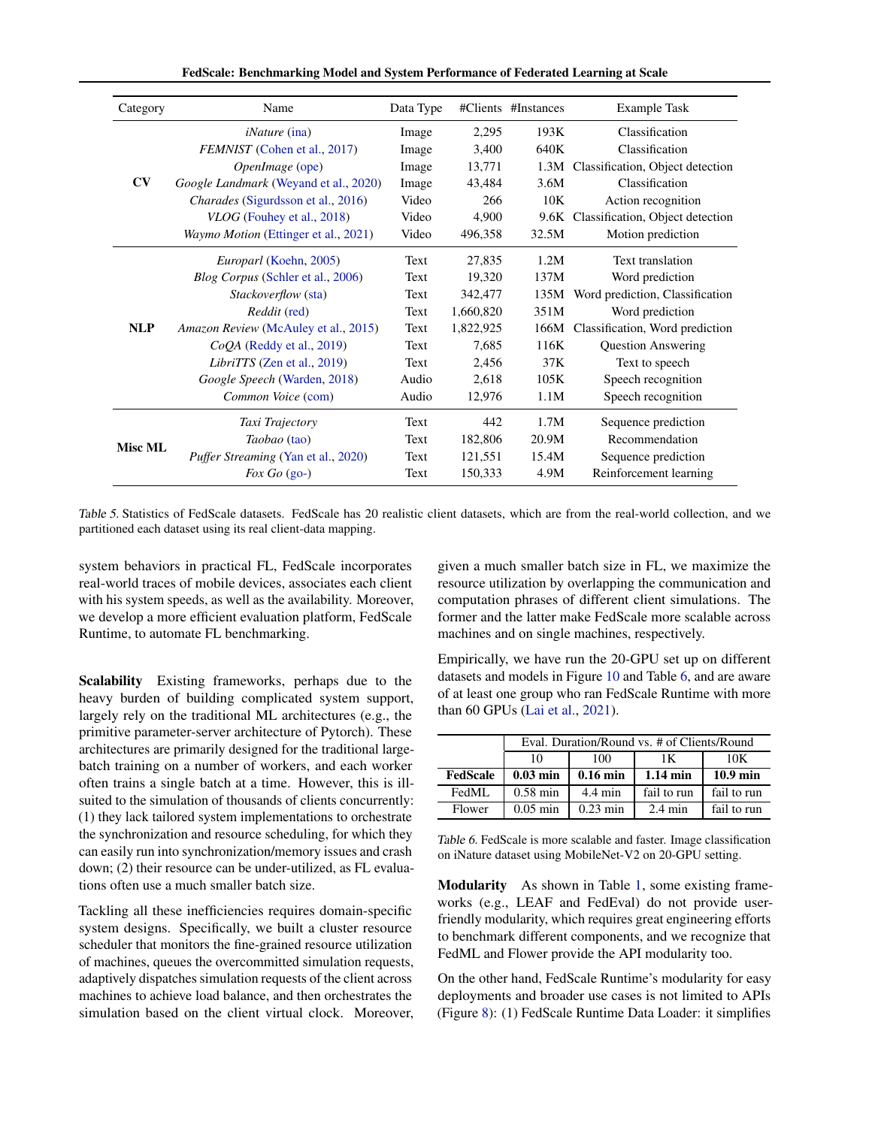FedScale: Benchmarking Model and System Performance of Federated Learning at Scale

| Category       | Name                                       | Data Type |           | #Clients #Instances | <b>Example Task</b>              |
|----------------|--------------------------------------------|-----------|-----------|---------------------|----------------------------------|
|                | <i>iNature</i> (ina)                       | Image     | 2,295     | 193K                | Classification                   |
|                | FEMNIST (Cohen et al., 2017)               | Image     | 3,400     | 640K                | Classification                   |
|                | OpenImage (ope)                            | Image     | 13,771    | 1.3M                | Classification, Object detection |
| CV             | Google Landmark (Weyand et al., 2020)      | Image     | 43,484    | 3.6M                | Classification                   |
|                | <i>Charades</i> (Sigurdsson et al., 2016)  | Video     | 266       | 10K                 | Action recognition               |
|                | <i>VLOG</i> (Fouhey et al., 2018)          | Video     | 4,900     | 9.6K                | Classification, Object detection |
|                | Waymo Motion (Ettinger et al., 2021)       | Video     | 496,358   | 32.5M               | Motion prediction                |
|                | Europarl (Koehn, 2005)                     | Text      | 27,835    | 1.2M                | Text translation                 |
|                | Blog Corpus (Schler et al., 2006)          | Text      | 19,320    | 137M                | Word prediction                  |
|                | <i>Stackoverflow</i> (sta)                 | Text      | 342,477   | 135M                | Word prediction, Classification  |
|                | Reddit (red)                               | Text      | 1,660,820 | 351M                | Word prediction                  |
| <b>NLP</b>     | Amazon Review (McAuley et al., 2015)       | Text      | 1,822,925 | 166M                | Classification, Word prediction  |
|                | $CoOA$ (Reddy et al., 2019)                | Text      | 7,685     | 116K                | <b>Question Answering</b>        |
|                | LibriTTS (Zen et al., 2019)                | Text      | 2,456     | 37K                 | Text to speech                   |
|                | Google Speech (Warden, 2018)               | Audio     | 2,618     | 105K                | Speech recognition               |
|                | Common Voice (com)                         | Audio     | 12,976    | 1.1M                | Speech recognition               |
|                | Taxi Trajectory                            | Text      | 442       | 1.7M                | Sequence prediction              |
|                | Taobao (tao)                               | Text      | 182,806   | 20.9M               | Recommendation                   |
| <b>Misc ML</b> | <i>Puffer Streaming (Yan et al., 2020)</i> | Text      | 121,551   | 15.4M               | Sequence prediction              |
|                | Fox Go $(go-)$                             | Text      | 150,333   | 4.9M                | Reinforcement learning           |

<span id="page-12-0"></span>Table 5. Statistics of FedScale datasets. FedScale has 20 realistic client datasets, which are from the real-world collection, and we partitioned each dataset using its real client-data mapping.

system behaviors in practical FL, FedScale incorporates real-world traces of mobile devices, associates each client with his system speeds, as well as the availability. Moreover, we develop a more efficient evaluation platform, FedScale Runtime, to automate FL benchmarking.

Scalability Existing frameworks, perhaps due to the heavy burden of building complicated system support, largely rely on the traditional ML architectures (e.g., the primitive parameter-server architecture of Pytorch). These architectures are primarily designed for the traditional largebatch training on a number of workers, and each worker often trains a single batch at a time. However, this is illsuited to the simulation of thousands of clients concurrently: (1) they lack tailored system implementations to orchestrate the synchronization and resource scheduling, for which they can easily run into synchronization/memory issues and crash down; (2) their resource can be under-utilized, as FL evaluations often use a much smaller batch size.

Tackling all these inefficiencies requires domain-specific system designs. Specifically, we built a cluster resource scheduler that monitors the fine-grained resource utilization of machines, queues the overcommitted simulation requests, adaptively dispatches simulation requests of the client across machines to achieve load balance, and then orchestrates the simulation based on the client virtual clock. Moreover, given a much smaller batch size in FL, we maximize the resource utilization by overlapping the communication and computation phrases of different client simulations. The former and the latter make FedScale more scalable across machines and on single machines, respectively.

Empirically, we have run the 20-GPU set up on different datasets and models in Figure [10](#page-5-2) and Table [6,](#page-12-1) and are aware of at least one group who ran FedScale Runtime with more than 60 GPUs [\(Lai et al.,](#page-9-10) [2021\)](#page-9-10).

|                 | Eval. Duration/Round vs. # of Clients/Round |                   |                   |             |  |  |  |
|-----------------|---------------------------------------------|-------------------|-------------------|-------------|--|--|--|
|                 | 100<br>10K<br>10<br>1Κ                      |                   |                   |             |  |  |  |
| <b>FedScale</b> | $0.03$ min                                  | $0.16$ min        | $1.14$ min        | $10.9$ min  |  |  |  |
| FedML           | $0.58$ min                                  | $4.4 \text{ min}$ | fail to run       | fail to run |  |  |  |
| Flower          | $0.05$ min                                  | $0.23$ min        | $2.4 \text{ min}$ | fail to run |  |  |  |

<span id="page-12-1"></span>Table 6. FedScale is more scalable and faster. Image classification on iNature dataset using MobileNet-V2 on 20-GPU setting.

Modularity As shown in Table [1,](#page-1-1) some existing frameworks (e.g., LEAF and FedEval) do not provide userfriendly modularity, which requires great engineering efforts to benchmark different components, and we recognize that FedML and Flower provide the API modularity too.

On the other hand, FedScale Runtime's modularity for easy deployments and broader use cases is not limited to APIs (Figure [8\)](#page-4-1): (1) FedScale Runtime Data Loader: it simplifies